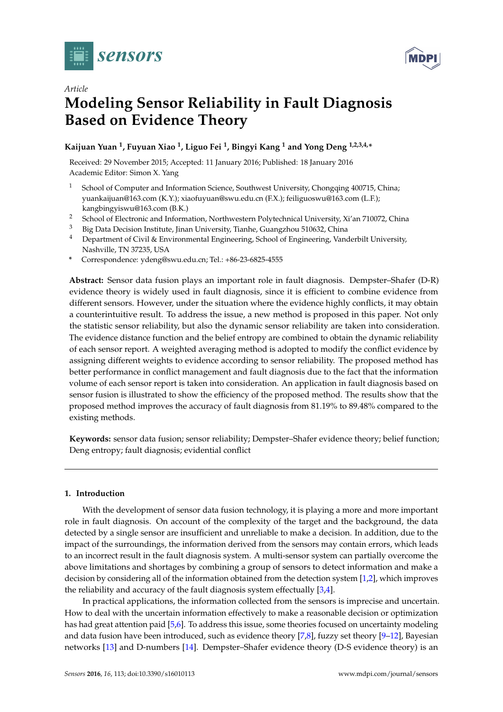



# *Article* **Modeling Sensor Reliability in Fault Diagnosis Based on Evidence Theory**

## **Kaijuan Yuan <sup>1</sup> , Fuyuan Xiao <sup>1</sup> , Liguo Fei <sup>1</sup> , Bingyi Kang <sup>1</sup> and Yong Deng 1,2,3,4,\***

Received: 29 November 2015; Accepted: 11 January 2016; Published: 18 January 2016 Academic Editor: Simon X. Yang

- <sup>1</sup> School of Computer and Information Science, Southwest University, Chongqing 400715, China; yuankaijuan@163.com (K.Y.); xiaofuyuan@swu.edu.cn (F.X.); feiliguoswu@163.com (L.F.); kangbingyiswu@163.com (B.K.)
- <sup>2</sup> School of Electronic and Information, Northwestern Polytechnical University, Xi'an 710072, China
- <sup>3</sup> Big Data Decision Institute, Jinan University, Tianhe, Guangzhou 510632, China
- <sup>4</sup> Department of Civil & Environmental Engineering, School of Engineering, Vanderbilt University, Nashville, TN 37235, USA
- **\*** Correspondence: ydeng@swu.edu.cn; Tel.: +86-23-6825-4555

**Abstract:** Sensor data fusion plays an important role in fault diagnosis. Dempster–Shafer (D-R) evidence theory is widely used in fault diagnosis, since it is efficient to combine evidence from different sensors. However, under the situation where the evidence highly conflicts, it may obtain a counterintuitive result. To address the issue, a new method is proposed in this paper. Not only the statistic sensor reliability, but also the dynamic sensor reliability are taken into consideration. The evidence distance function and the belief entropy are combined to obtain the dynamic reliability of each sensor report. A weighted averaging method is adopted to modify the conflict evidence by assigning different weights to evidence according to sensor reliability. The proposed method has better performance in conflict management and fault diagnosis due to the fact that the information volume of each sensor report is taken into consideration. An application in fault diagnosis based on sensor fusion is illustrated to show the efficiency of the proposed method. The results show that the proposed method improves the accuracy of fault diagnosis from 81.19% to 89.48% compared to the existing methods.

**Keywords:** sensor data fusion; sensor reliability; Dempster–Shafer evidence theory; belief function; Deng entropy; fault diagnosis; evidential conflict

## **1. Introduction**

With the development of sensor data fusion technology, it is playing a more and more important role in fault diagnosis. On account of the complexity of the target and the background, the data detected by a single sensor are insufficient and unreliable to make a decision. In addition, due to the impact of the surroundings, the information derived from the sensors may contain errors, which leads to an incorrect result in the fault diagnosis system. A multi-sensor system can partially overcome the above limitations and shortages by combining a group of sensors to detect information and make a decision by considering all of the information obtained from the detection system [\[1](#page-10-0)[,2\]](#page-10-1), which improves the reliability and accuracy of the fault diagnosis system effectually [\[3](#page-10-2)[,4\]](#page-10-3).

In practical applications, the information collected from the sensors is imprecise and uncertain. How to deal with the uncertain information effectively to make a reasonable decision or optimization has had great attention paid [\[5,](#page-11-0)[6\]](#page-11-1). To address this issue, some theories focused on uncertainty modeling and data fusion have been introduced, such as evidence theory [\[7,](#page-11-2)[8\]](#page-11-3), fuzzy set theory [\[9–](#page-11-4)[12\]](#page-11-5), Bayesian networks [\[13\]](#page-11-6) and D-numbers [\[14\]](#page-11-7). Dempster–Shafer evidence theory (D-S evidence theory) is an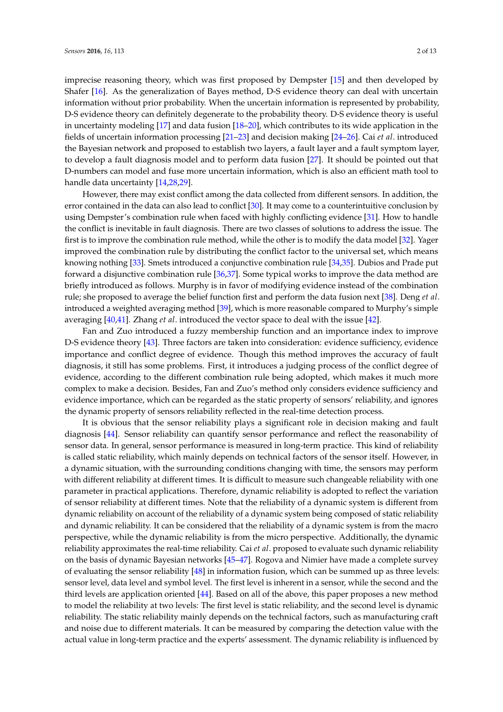imprecise reasoning theory, which was first proposed by Dempster [\[15\]](#page-11-8) and then developed by Shafer [\[16\]](#page-11-9). As the generalization of Bayes method, D-S evidence theory can deal with uncertain information without prior probability. When the uncertain information is represented by probability, D-S evidence theory can definitely degenerate to the probability theory. D-S evidence theory is useful in uncertainty modeling [\[17\]](#page-11-10) and data fusion [\[18–](#page-11-11)[20\]](#page-11-12), which contributes to its wide application in the fields of uncertain information processing [\[21–](#page-11-13)[23\]](#page-11-14) and decision making [\[24](#page-11-15)[–26\]](#page-11-16). Cai *et al*. introduced the Bayesian network and proposed to establish two layers, a fault layer and a fault symptom layer, to develop a fault diagnosis model and to perform data fusion [\[27\]](#page-11-17). It should be pointed out that D-numbers can model and fuse more uncertain information, which is also an efficient math tool to handle data uncertainty [\[14,](#page-11-7)[28,](#page-11-18)[29\]](#page-11-19).

However, there may exist conflict among the data collected from different sensors. In addition, the error contained in the data can also lead to conflict [\[30\]](#page-11-20). It may come to a counterintuitive conclusion by using Dempster's combination rule when faced with highly conflicting evidence [\[31\]](#page-12-0). How to handle the conflict is inevitable in fault diagnosis. There are two classes of solutions to address the issue. The first is to improve the combination rule method, while the other is to modify the data model [\[32\]](#page-12-1). Yager improved the combination rule by distributing the conflict factor to the universal set, which means knowing nothing [\[33\]](#page-12-2). Smets introduced a conjunctive combination rule [\[34](#page-12-3)[,35\]](#page-12-4). Dubios and Prade put forward a disjunctive combination rule [\[36](#page-12-5)[,37\]](#page-12-6). Some typical works to improve the data method are briefly introduced as follows. Murphy is in favor of modifying evidence instead of the combination rule; she proposed to average the belief function first and perform the data fusion next [\[38\]](#page-12-7). Deng *et al*. introduced a weighted averaging method [\[39\]](#page-12-8), which is more reasonable compared to Murphy's simple averaging [\[40](#page-12-9)[,41\]](#page-12-10). Zhang *et al*. introduced the vector space to deal with the issue [\[42\]](#page-12-11).

Fan and Zuo introduced a fuzzy membership function and an importance index to improve D-S evidence theory [\[43\]](#page-12-12). Three factors are taken into consideration: evidence sufficiency, evidence importance and conflict degree of evidence. Though this method improves the accuracy of fault diagnosis, it still has some problems. First, it introduces a judging process of the conflict degree of evidence, according to the different combination rule being adopted, which makes it much more complex to make a decision. Besides, Fan and Zuo's method only considers evidence sufficiency and evidence importance, which can be regarded as the static property of sensors' reliability, and ignores the dynamic property of sensors reliability reflected in the real-time detection process.

It is obvious that the sensor reliability plays a significant role in decision making and fault diagnosis [\[44\]](#page-12-13). Sensor reliability can quantify sensor performance and reflect the reasonability of sensor data. In general, sensor performance is measured in long-term practice. This kind of reliability is called static reliability, which mainly depends on technical factors of the sensor itself. However, in a dynamic situation, with the surrounding conditions changing with time, the sensors may perform with different reliability at different times. It is difficult to measure such changeable reliability with one parameter in practical applications. Therefore, dynamic reliability is adopted to reflect the variation of sensor reliability at different times. Note that the reliability of a dynamic system is different from dynamic reliability on account of the reliability of a dynamic system being composed of static reliability and dynamic reliability. It can be considered that the reliability of a dynamic system is from the macro perspective, while the dynamic reliability is from the micro perspective. Additionally, the dynamic reliability approximates the real-time reliability. Cai *et al*. proposed to evaluate such dynamic reliability on the basis of dynamic Bayesian networks [\[45–](#page-12-14)[47\]](#page-12-15). Rogova and Nimier have made a complete survey of evaluating the sensor reliability [\[48\]](#page-12-16) in information fusion, which can be summed up as three levels: sensor level, data level and symbol level. The first level is inherent in a sensor, while the second and the third levels are application oriented [\[44\]](#page-12-13). Based on all of the above, this paper proposes a new method to model the reliability at two levels: The first level is static reliability, and the second level is dynamic reliability. The static reliability mainly depends on the technical factors, such as manufacturing craft and noise due to different materials. It can be measured by comparing the detection value with the actual value in long-term practice and the experts' assessment. The dynamic reliability is influenced by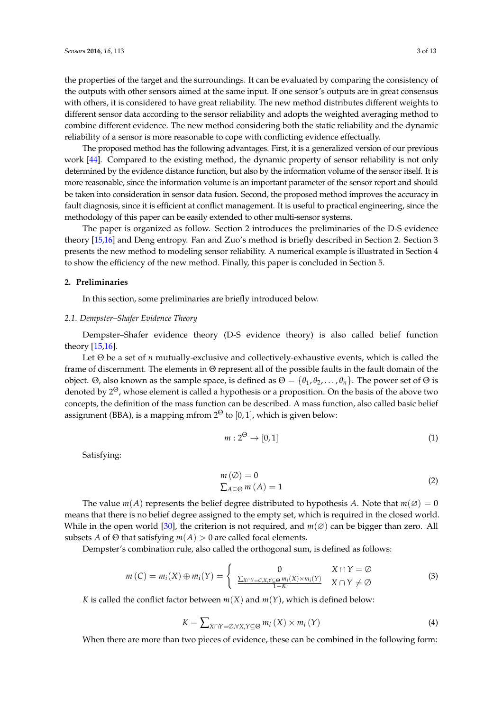the properties of the target and the surroundings. It can be evaluated by comparing the consistency of the outputs with other sensors aimed at the same input. If one sensor's outputs are in great consensus with others, it is considered to have great reliability. The new method distributes different weights to different sensor data according to the sensor reliability and adopts the weighted averaging method to combine different evidence. The new method considering both the static reliability and the dynamic reliability of a sensor is more reasonable to cope with conflicting evidence effectually.

The proposed method has the following advantages. First, it is a generalized version of our previous work [\[44\]](#page-12-13). Compared to the existing method, the dynamic property of sensor reliability is not only determined by the evidence distance function, but also by the information volume of the sensor itself. It is more reasonable, since the information volume is an important parameter of the sensor report and should be taken into consideration in sensor data fusion. Second, the proposed method improves the accuracy in fault diagnosis, since it is efficient at conflict management. It is useful to practical engineering, since the methodology of this paper can be easily extended to other multi-sensor systems.

The paper is organized as follow. Section 2 introduces the preliminaries of the D-S evidence theory [\[15,](#page-11-8)[16\]](#page-11-9) and Deng entropy. Fan and Zuo's method is briefly described in Section 2. Section 3 presents the new method to modeling sensor reliability. A numerical example is illustrated in Section 4 to show the efficiency of the new method. Finally, this paper is concluded in Section 5.

## **2. Preliminaries**

In this section, some preliminaries are briefly introduced below.

## *2.1. Dempster–Shafer Evidence Theory*

Dempster–Shafer evidence theory (D-S evidence theory) is also called belief function theory [\[15,](#page-11-8)[16\]](#page-11-9).

Let Θ be a set of *n* mutually-exclusive and collectively-exhaustive events, which is called the frame of discernment. The elements in Θ represent all of the possible faults in the fault domain of the object. Θ, also known as the sample space, is defined as  $\Theta = {\theta_1, \theta_2, ..., \theta_n}$ . The power set of  $\Theta$  is denoted by  $2^{\Theta}$ , whose element is called a hypothesis or a proposition. On the basis of the above two concepts, the definition of the mass function can be described. A mass function, also called basic belief assignment (BBA), is a mapping mfrom  $2^{\Theta}$  to [0, 1], which is given below:

$$
m: 2^{\Theta} \to [0, 1] \tag{1}
$$

Satisfying:

$$
m(\emptyset) = 0
$$
  
\n
$$
\sum_{A \subseteq \Theta} m(A) = 1
$$
\n(2)

The value  $m(A)$  represents the belief degree distributed to hypothesis *A*. Note that  $m(\emptyset) = 0$ means that there is no belief degree assigned to the empty set, which is required in the closed world. While in the open world [\[30\]](#page-11-20), the criterion is not required, and *m*(∅) can be bigger than zero. All subsets *A* of  $\Theta$  that satisfying  $m(A) > 0$  are called focal elements.

Dempster's combination rule, also called the orthogonal sum, is defined as follows:

<span id="page-2-1"></span>
$$
m(C) = m_i(X) \oplus m_i(Y) = \begin{cases} 0 & X \cap Y = \emptyset \\ \frac{\sum_{X \cap Y = C, X, Y \subseteq \Theta} m_i(X) \times m_i(Y)}{1 - K} & X \cap Y \neq \emptyset \end{cases}
$$
(3)

*K* is called the conflict factor between  $m(X)$  and  $m(Y)$ , which is defined below:

<span id="page-2-0"></span>
$$
K = \sum_{X \cap Y = \emptyset, \forall X, Y \subseteq \Theta} m_i(X) \times m_i(Y)
$$
\n(4)

When there are more than two pieces of evidence, these can be combined in the following form: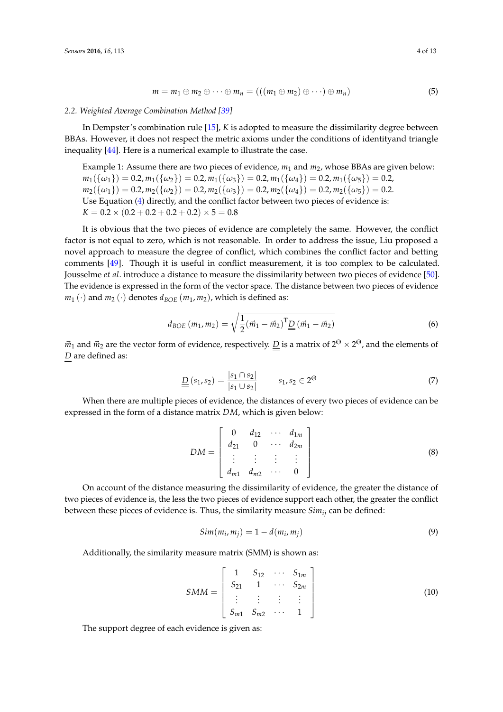$$
m = m_1 \oplus m_2 \oplus \cdots \oplus m_n = (((m_1 \oplus m_2) \oplus \cdots) \oplus m_n)
$$
 (5)

#### *2.2. Weighted Average Combination Method [\[39\]](#page-12-8)*

In Dempster's combination rule [\[15\]](#page-11-8), *K* is adopted to measure the dissimilarity degree between BBAs. However, it does not respect the metric axioms under the conditions of identityand triangle inequality [\[44\]](#page-12-13). Here is a numerical example to illustrate the case.

Example 1: Assume there are two pieces of evidence,  $m_1$  and  $m_2$ , whose BBAs are given below:  $m_1({\{\omega_1\}}) = 0.2, m_1({\{\omega_2\}}) = 0.2, m_1({\{\omega_3\}}) = 0.2, m_1({\{\omega_4\}}) = 0.2, m_1({\{\omega_5\}}) = 0.2,$  $m_2(\{\omega_1\}) = 0.2, m_2(\{\omega_2\}) = 0.2, m_2(\{\omega_3\}) = 0.2, m_2(\{\omega_4\}) = 0.2, m_2(\{\omega_5\}) = 0.2.$ Use Equation [\(4\)](#page-2-0) directly, and the conflict factor between two pieces of evidence is:  $K = 0.2 \times (0.2 + 0.2 + 0.2 + 0.2) \times 5 = 0.8$ 

It is obvious that the two pieces of evidence are completely the same. However, the conflict factor is not equal to zero, which is not reasonable. In order to address the issue, Liu proposed a novel approach to measure the degree of conflict, which combines the conflict factor and betting comments [\[49\]](#page-12-17). Though it is useful in conflict measurement, it is too complex to be calculated. Jousselme *et al*. introduce a distance to measure the dissimilarity between two pieces of evidence [\[50\]](#page-12-18). The evidence is expressed in the form of the vector space. The distance between two pieces of evidence  $m_1(\cdot)$  and  $m_2(\cdot)$  denotes  $d_{BOE}(m_1, m_2)$ , which is defined as:

$$
d_{BOE}(m_1, m_2) = \sqrt{\frac{1}{2}(\vec{m}_1 - \vec{m}_2)^T \underline{D}(\vec{m}_1 - \vec{m}_2)}
$$
(6)

 $\vec{m}_1$  and  $\vec{m}_2$  are the vector form of evidence, respectively. <u>D</u> is a matrix of 2 $^{\Theta}\times2^{\Theta}$ , and the elements of *D* are defined as:

$$
\underline{\underline{D}}\left(s_1, s_2\right) = \frac{\left|s_1 \cap s_2\right|}{\left|s_1 \cup s_2\right|} \qquad s_1, s_2 \in 2^{\Theta} \tag{7}
$$

When there are multiple pieces of evidence, the distances of every two pieces of evidence can be expressed in the form of a distance matrix *DM*, which is given below:

$$
DM = \begin{bmatrix} 0 & d_{12} & \cdots & d_{1m} \\ d_{21} & 0 & \cdots & d_{2m} \\ \vdots & \vdots & \vdots & \vdots \\ d_{m1} & d_{m2} & \cdots & 0 \end{bmatrix}
$$
 (8)

On account of the distance measuring the dissimilarity of evidence, the greater the distance of two pieces of evidence is, the less the two pieces of evidence support each other, the greater the conflict between these pieces of evidence is. Thus, the similarity measure *Simij* can be defined:

$$
Sim(m_i, m_j) = 1 - d(m_i, m_j)
$$
\n(9)

Additionally, the similarity measure matrix (SMM) is shown as:

$$
SMM = \begin{bmatrix} 1 & S_{12} & \cdots & S_{1m} \\ S_{21} & 1 & \cdots & S_{2m} \\ \vdots & \vdots & \vdots & \vdots \\ S_{m1} & S_{m2} & \cdots & 1 \end{bmatrix} \tag{10}
$$

The support degree of each evidence is given as: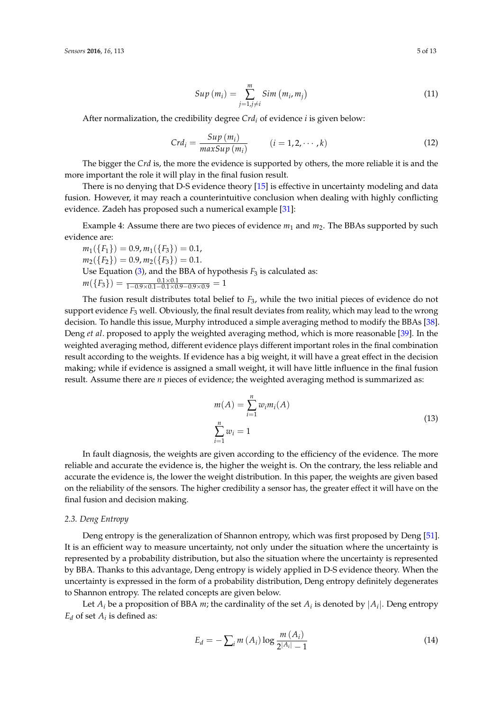$$
Sup(m_i) = \sum_{j=1, j\neq i}^{m} Sim(m_i, m_j)
$$
\n(11)

After normalization, the credibility degree *Crd<sup>i</sup>* of evidence *i* is given below:

<span id="page-4-0"></span>
$$
Crd_i = \frac{Sup(m_i)}{maxSup(m_i)} \qquad (i = 1, 2, \cdots, k)
$$
 (12)

The bigger the *Crd* is, the more the evidence is supported by others, the more reliable it is and the more important the role it will play in the final fusion result.

There is no denying that D-S evidence theory [\[15\]](#page-11-8) is effective in uncertainty modeling and data fusion. However, it may reach a counterintuitive conclusion when dealing with highly conflicting evidence. Zadeh has proposed such a numerical example [\[31\]](#page-12-0):

Example 4: Assume there are two pieces of evidence  $m_1$  and  $m_2$ . The BBAs supported by such evidence are:

 $m_1({F_1}) = 0.9, m_1({F_3}) = 0.1,$  $m_2({F_2}) = 0.9, m_2({F_3}) = 0.1.$ Use Equation [\(3\)](#page-2-1), and the BBA of hypothesis  $F_3$  is calculated as:  $m({F_3}) = \frac{0.1 \times 0.1}{1 - 0.9 \times 0.1 - 0.1 \times 0.9 - 0.9 \times 0.9} = 1$ 

The fusion result distributes total belief to *F*3, while the two initial pieces of evidence do not support evidence *F*<sup>3</sup> well. Obviously, the final result deviates from reality, which may lead to the wrong decision. To handle this issue, Murphy introduced a simple averaging method to modify the BBAs [\[38\]](#page-12-7). Deng *et al*. proposed to apply the weighted averaging method, which is more reasonable [\[39\]](#page-12-8). In the weighted averaging method, different evidence plays different important roles in the final combination result according to the weights. If evidence has a big weight, it will have a great effect in the decision making; while if evidence is assigned a small weight, it will have little influence in the final fusion result. Assume there are *n* pieces of evidence; the weighted averaging method is summarized as:

<span id="page-4-2"></span>
$$
m(A) = \sum_{i=1}^{n} w_i m_i(A)
$$
  

$$
\sum_{i=1}^{n} w_i = 1
$$
 (13)

In fault diagnosis, the weights are given according to the efficiency of the evidence. The more reliable and accurate the evidence is, the higher the weight is. On the contrary, the less reliable and accurate the evidence is, the lower the weight distribution. In this paper, the weights are given based on the reliability of the sensors. The higher credibility a sensor has, the greater effect it will have on the final fusion and decision making.

#### *2.3. Deng Entropy*

Deng entropy is the generalization of Shannon entropy, which was first proposed by Deng [\[51\]](#page-12-19). It is an efficient way to measure uncertainty, not only under the situation where the uncertainty is represented by a probability distribution, but also the situation where the uncertainty is represented by BBA. Thanks to this advantage, Deng entropy is widely applied in D-S evidence theory. When the uncertainty is expressed in the form of a probability distribution, Deng entropy definitely degenerates to Shannon entropy. The related concepts are given below.

Let  $A_i$  be a proposition of BBA *m*; the cardinality of the set  $A_i$  is denoted by  $|A_i|$ . Deng entropy  $E_d$  of set  $A_i$  is defined as:

<span id="page-4-1"></span>
$$
E_d = -\sum_{i} m(A_i) \log \frac{m(A_i)}{2^{|A_i|} - 1}
$$
 (14)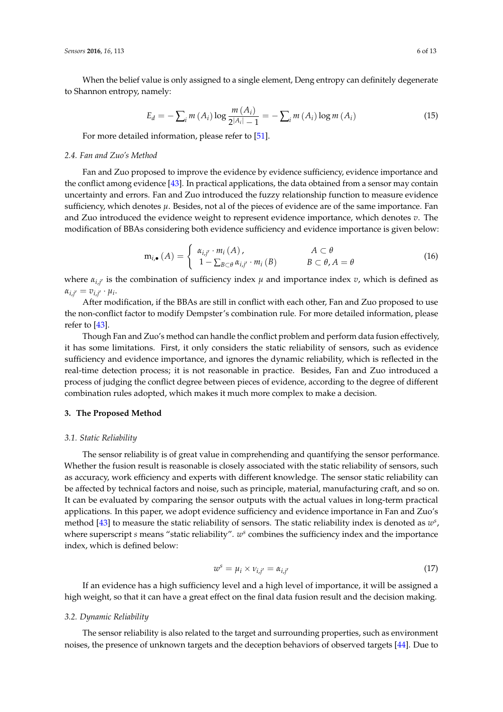When the belief value is only assigned to a single element, Deng entropy can definitely degenerate to Shannon entropy, namely:

$$
E_d = -\sum_i m(A_i) \log \frac{m(A_i)}{2^{|A_i|} - 1} = -\sum_i m(A_i) \log m(A_i)
$$
 (15)

For more detailed information, please refer to [\[51\]](#page-12-19).

#### *2.4. Fan and Zuo's Method*

Fan and Zuo proposed to improve the evidence by evidence sufficiency, evidence importance and the conflict among evidence [\[43\]](#page-12-12). In practical applications, the data obtained from a sensor may contain uncertainty and errors. Fan and Zuo introduced the fuzzy relationship function to measure evidence sufficiency, which denotes *µ*. Besides, not al of the pieces of evidence are of the same importance. Fan and Zuo introduced the evidence weight to represent evidence importance, which denotes *v*. The modification of BBAs considering both evidence sufficiency and evidence importance is given below:

$$
\mathbf{m}_{i,\bullet}(A) = \begin{cases} \alpha_{i,j'} \cdot m_i(A), & A \subset \theta \\ 1 - \sum_{B \subset \theta} \alpha_{i,j'} \cdot m_i(B) & B \subset \theta, A = \theta \end{cases}
$$
(16)

where  $\alpha_{i,j'}$  is the combination of sufficiency index  $\mu$  and importance index  $v$ , which is defined as  $\alpha_{i,j'} = v_{i,j'} \cdot \mu_i.$ 

After modification, if the BBAs are still in conflict with each other, Fan and Zuo proposed to use the non-conflict factor to modify Dempster's combination rule. For more detailed information, please refer to [\[43\]](#page-12-12).

Though Fan and Zuo's method can handle the conflict problem and perform data fusion effectively, it has some limitations. First, it only considers the static reliability of sensors, such as evidence sufficiency and evidence importance, and ignores the dynamic reliability, which is reflected in the real-time detection process; it is not reasonable in practice. Besides, Fan and Zuo introduced a process of judging the conflict degree between pieces of evidence, according to the degree of different combination rules adopted, which makes it much more complex to make a decision.

## **3. The Proposed Method**

## *3.1. Static Reliability*

The sensor reliability is of great value in comprehending and quantifying the sensor performance. Whether the fusion result is reasonable is closely associated with the static reliability of sensors, such as accuracy, work efficiency and experts with different knowledge. The sensor static reliability can be affected by technical factors and noise, such as principle, material, manufacturing craft, and so on. It can be evaluated by comparing the sensor outputs with the actual values in long-term practical applications. In this paper, we adopt evidence sufficiency and evidence importance in Fan and Zuo's method [\[43\]](#page-12-12) to measure the static reliability of sensors. The static reliability index is denoted as *w s* , where superscript *s* means "static reliability".  $w^s$  combines the sufficiency index and the importance index, which is defined below:

<span id="page-5-0"></span>
$$
w^s = \mu_i \times \nu_{i,j'} = \alpha_{i,j'} \tag{17}
$$

If an evidence has a high sufficiency level and a high level of importance, it will be assigned a high weight, so that it can have a great effect on the final data fusion result and the decision making.

## *3.2. Dynamic Reliability*

The sensor reliability is also related to the target and surrounding properties, such as environment noises, the presence of unknown targets and the deception behaviors of observed targets [\[44\]](#page-12-13). Due to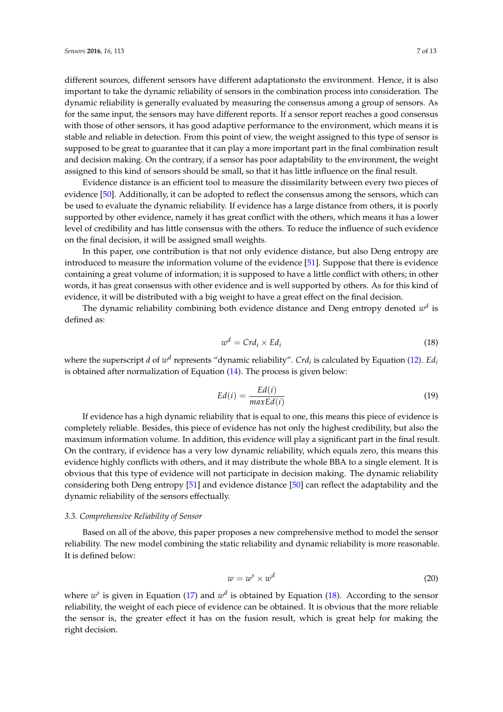different sources, different sensors have different adaptationsto the environment. Hence, it is also important to take the dynamic reliability of sensors in the combination process into consideration. The dynamic reliability is generally evaluated by measuring the consensus among a group of sensors. As for the same input, the sensors may have different reports. If a sensor report reaches a good consensus with those of other sensors, it has good adaptive performance to the environment, which means it is stable and reliable in detection. From this point of view, the weight assigned to this type of sensor is supposed to be great to guarantee that it can play a more important part in the final combination result and decision making. On the contrary, if a sensor has poor adaptability to the environment, the weight assigned to this kind of sensors should be small, so that it has little influence on the final result.

Evidence distance is an efficient tool to measure the dissimilarity between every two pieces of evidence [\[50\]](#page-12-18). Additionally, it can be adopted to reflect the consensus among the sensors, which can be used to evaluate the dynamic reliability. If evidence has a large distance from others, it is poorly supported by other evidence, namely it has great conflict with the others, which means it has a lower level of credibility and has little consensus with the others. To reduce the influence of such evidence on the final decision, it will be assigned small weights.

In this paper, one contribution is that not only evidence distance, but also Deng entropy are introduced to measure the information volume of the evidence [\[51\]](#page-12-19). Suppose that there is evidence containing a great volume of information; it is supposed to have a little conflict with others; in other words, it has great consensus with other evidence and is well supported by others. As for this kind of evidence, it will be distributed with a big weight to have a great effect on the final decision.

The dynamic reliability combining both evidence distance and Deng entropy denoted  $w^d$  is defined as:

<span id="page-6-0"></span>
$$
w^d = C r d_i \times E d_i \tag{18}
$$

where the superscript *d* of  $w^d$  represents "dynamic reliability". *Crd<sub>i</sub>* is calculated by Equation [\(12\)](#page-4-0). *Ed*<sub>*i*</sub> is obtained after normalization of Equation [\(14\)](#page-4-1). The process is given below:

<span id="page-6-2"></span>
$$
Ed(i) = \frac{Ed(i)}{maxEd(i)}
$$
\n(19)

If evidence has a high dynamic reliability that is equal to one, this means this piece of evidence is completely reliable. Besides, this piece of evidence has not only the highest credibility, but also the maximum information volume. In addition, this evidence will play a significant part in the final result. On the contrary, if evidence has a very low dynamic reliability, which equals zero, this means this evidence highly conflicts with others, and it may distribute the whole BBA to a single element. It is obvious that this type of evidence will not participate in decision making. The dynamic reliability considering both Deng entropy [\[51\]](#page-12-19) and evidence distance [\[50\]](#page-12-18) can reflect the adaptability and the dynamic reliability of the sensors effectually.

#### *3.3. Comprehensive Reliability of Sensor*

Based on all of the above, this paper proposes a new comprehensive method to model the sensor reliability. The new model combining the static reliability and dynamic reliability is more reasonable. It is defined below:

<span id="page-6-1"></span>
$$
w = w^s \times w^d \tag{20}
$$

where  $w^s$  is given in Equation [\(17\)](#page-5-0) and  $w^d$  is obtained by Equation [\(18\)](#page-6-0). According to the sensor reliability, the weight of each piece of evidence can be obtained. It is obvious that the more reliable the sensor is, the greater effect it has on the fusion result, which is great help for making the right decision.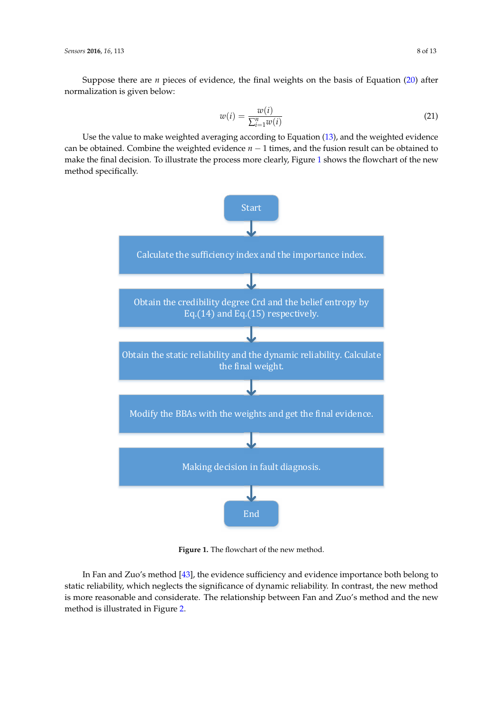*Sensors* **2016**, *16*, 113 8 of 13

Suppose there are *n* pieces of evidence, the final weights on the basis of Equation [\(20\)](#page-6-1) after normalization is given below:

$$
w(i) = \frac{w(i)}{\sum_{i=1}^{n} w(i)}
$$
\n
$$
(21)
$$

Use the value to make weighted averaging according to Equation [\(13\)](#page-4-2), and the weighted evidence can be obtained. Combine the weighted evidence *n* − 1 times, and the fusion result can be obtained to make the final decision. To illustrate the process more clearly, Figure [1](#page-7-0) shows the flowchart of the new method specifically.

<span id="page-7-0"></span>

**Figure 1.** The flowchart of the new method.

In Fan and Zuo's method [\[43\]](#page-12-12), the evidence sufficiency and evidence importance both belong to static reliability, which neglects the significance of dynamic reliability. In contrast, the new method is more reasonable and considerate. The relationship between Fan and Zuo's method and the new method is illustrated in Figure [2.](#page-8-0)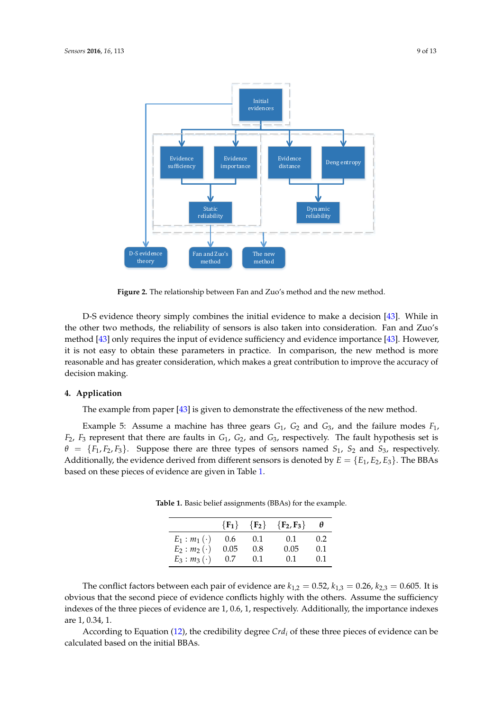<span id="page-8-0"></span>

**Figure 2.** The relationship between Fan and Zuo's method and the new method.

D-S evidence theory simply combines the initial evidence to make a decision [\[43\]](#page-12-12). While in the other two methods, the reliability of sensors is also taken into consideration. Fan and Zuo's method [\[43\]](#page-12-12) only requires the input of evidence sufficiency and evidence importance [\[43\]](#page-12-12). However, it is not easy to obtain these parameters in practice. In comparison, the new method is more reasonable and has greater consideration, which makes a great contribution to improve the accuracy of decision making.

## **4. Application**

The example from paper [\[43\]](#page-12-12) is given to demonstrate the effectiveness of the new method.

<span id="page-8-1"></span>Example 5: Assume a machine has three gears *G*1, *G*<sup>2</sup> and *G*3, and the failure modes *F*1, *F*2, *F*<sup>3</sup> represent that there are faults in *G*1, *G*2, and *G*3, respectively. The fault hypothesis set is  $\theta = \{F_1, F_2, F_3\}$ . Suppose there are three types of sensors named  $S_1$ ,  $S_2$  and  $S_3$ , respectively. Additionally, the evidence derived from different sensors is denoted by  $E = \{E_1, E_2, E_3\}$ . The BBAs based on these pieces of evidence are given in Table [1.](#page-8-1)

|                     | $\{F_1\}$ | ${F_2}$ | ${F_2, F_3}$ |     |
|---------------------|-----------|---------|--------------|-----|
| $E_1 : m_1 (\cdot)$ | 0.6       | 0.1     | 0.1          | 0.2 |
| $E_2$ : $m_2$ (·)   | 0.05      | 0.8     | 0.05         | 0.1 |
| $E_3$ : $m_3$ (·)   | 0.7       | 0.1     | (0.1)        | 0.1 |

**Table 1.** Basic belief assignments (BBAs) for the example.

The conflict factors between each pair of evidence are  $k_{1,2} = 0.52$ ,  $k_{1,3} = 0.26$ ,  $k_{2,3} = 0.605$ . It is obvious that the second piece of evidence conflicts highly with the others. Assume the sufficiency indexes of the three pieces of evidence are 1, 0.6, 1, respectively. Additionally, the importance indexes are 1, 0.34, 1.

According to Equation [\(12\)](#page-4-0), the credibility degree *Crd<sup>i</sup>* of these three pieces of evidence can be calculated based on the initial BBAs.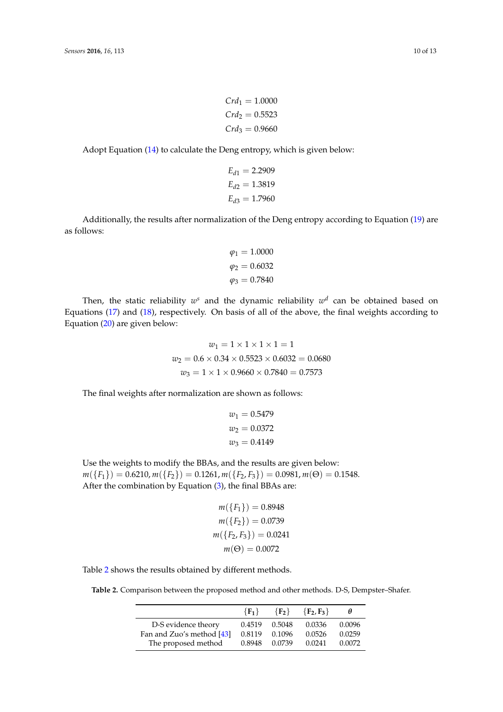Adopt Equation [\(14\)](#page-4-1) to calculate the Deng entropy, which is given below:

$$
E_{d1} = 2.2909
$$
  
\n
$$
E_{d2} = 1.3819
$$
  
\n
$$
E_{d3} = 1.7960
$$

Additionally, the results after normalization of the Deng entropy according to Equation [\(19\)](#page-6-2) are as follows:

$$
\varphi_1 = 1.0000
$$

$$
\varphi_2 = 0.6032
$$

$$
\varphi_3 = 0.7840
$$

Then, the static reliability  $w^s$  and the dynamic reliability  $w^d$  can be obtained based on Equations [\(17\)](#page-5-0) and [\(18\)](#page-6-0), respectively. On basis of all of the above, the final weights according to Equation [\(20\)](#page-6-1) are given below:

$$
w_1 = 1 \times 1 \times 1 \times 1 = 1
$$
  

$$
w_2 = 0.6 \times 0.34 \times 0.5523 \times 0.6032 = 0.0680
$$
  

$$
w_3 = 1 \times 1 \times 0.9660 \times 0.7840 = 0.7573
$$

The final weights after normalization are shown as follows:

$$
w_1 = 0.5479
$$
  

$$
w_2 = 0.0372
$$
  

$$
w_3 = 0.4149
$$

Use the weights to modify the BBAs, and the results are given below:  $m({F_1}) = 0.6210, m({F_2}) = 0.1261, m({F_2, F_3}) = 0.0981, m(\Theta) = 0.1548.$ After the combination by Equation [\(3\)](#page-2-1), the final BBAs are:

$$
m({F1}) = 0.8948
$$

$$
m({F2}) = 0.0739
$$

$$
m({F2, F3}) = 0.0241
$$

$$
m(\Theta) = 0.0072
$$

<span id="page-9-0"></span>Table [2](#page-9-0) shows the results obtained by different methods.

**Table 2.** Comparison between the proposed method and other methods. D-S, Dempster–Shafer.

|                           | $\{F_1\}$ | $\{F_2\}$ | ${F_2, F_3}$ | θ      |
|---------------------------|-----------|-----------|--------------|--------|
| D-S evidence theory       | 0.4519    | 0.5048    | 0.0336       | 0.0096 |
| Fan and Zuo's method [43] | 0.8119    | 0.1096    | 0.0526       | 0.0259 |
| The proposed method       | 0.8948    | 0.0739    | 0.0241       | 0.0072 |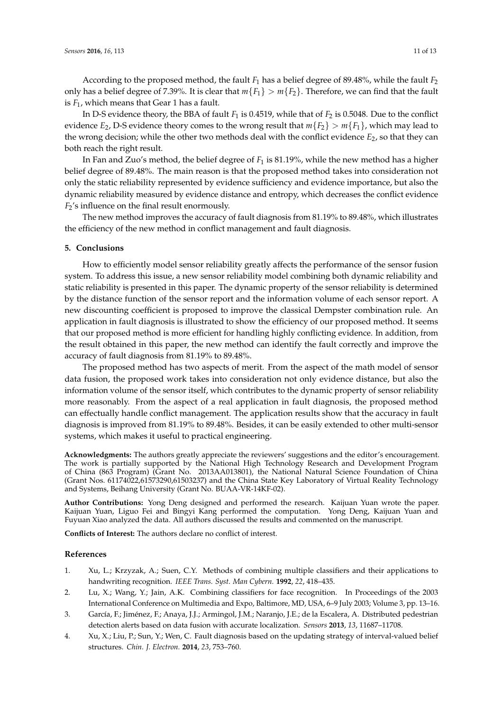According to the proposed method, the fault *F*<sup>1</sup> has a belief degree of 89.48%, while the fault *F*<sup>2</sup> only has a belief degree of 7.39%. It is clear that  $m{F_1} > m{F_2}$ . Therefore, we can find that the fault is *F*1, which means that Gear 1 has a fault.

In D-S evidence theory, the BBA of fault  $F_1$  is 0.4519, while that of  $F_2$  is 0.5048. Due to the conflict evidence *E*<sub>2</sub>, D-S evidence theory comes to the wrong result that  $m\{F_2\} > m\{F_1\}$ , which may lead to the wrong decision; while the other two methods deal with the conflict evidence  $E_2$ , so that they can both reach the right result.

In Fan and Zuo's method, the belief degree of *F*<sup>1</sup> is 81.19%, while the new method has a higher belief degree of 89.48%. The main reason is that the proposed method takes into consideration not only the static reliability represented by evidence sufficiency and evidence importance, but also the dynamic reliability measured by evidence distance and entropy, which decreases the conflict evidence *F*2's influence on the final result enormously.

The new method improves the accuracy of fault diagnosis from 81.19% to 89.48%, which illustrates the efficiency of the new method in conflict management and fault diagnosis.

#### **5. Conclusions**

How to efficiently model sensor reliability greatly affects the performance of the sensor fusion system. To address this issue, a new sensor reliability model combining both dynamic reliability and static reliability is presented in this paper. The dynamic property of the sensor reliability is determined by the distance function of the sensor report and the information volume of each sensor report. A new discounting coefficient is proposed to improve the classical Dempster combination rule. An application in fault diagnosis is illustrated to show the efficiency of our proposed method. It seems that our proposed method is more efficient for handling highly conflicting evidence. In addition, from the result obtained in this paper, the new method can identify the fault correctly and improve the accuracy of fault diagnosis from 81.19% to 89.48%.

The proposed method has two aspects of merit. From the aspect of the math model of sensor data fusion, the proposed work takes into consideration not only evidence distance, but also the information volume of the sensor itself, which contributes to the dynamic property of sensor reliability more reasonably. From the aspect of a real application in fault diagnosis, the proposed method can effectually handle conflict management. The application results show that the accuracy in fault diagnosis is improved from 81.19% to 89.48%. Besides, it can be easily extended to other multi-sensor systems, which makes it useful to practical engineering.

**Acknowledgments:** The authors greatly appreciate the reviewers' suggestions and the editor's encouragement. The work is partially supported by the National High Technology Research and Development Program of China (863 Program) (Grant No. 2013AA013801), the National Natural Science Foundation of China (Grant Nos. 61174022,61573290,61503237) and the China State Key Laboratory of Virtual Reality Technology and Systems, Beihang University (Grant No. BUAA-VR-14KF-02).

**Author Contributions:** Yong Deng designed and performed the research. Kaijuan Yuan wrote the paper. Kaijuan Yuan, Liguo Fei and Bingyi Kang performed the computation. Yong Deng, Kaijuan Yuan and Fuyuan Xiao analyzed the data. All authors discussed the results and commented on the manuscript.

**Conflicts of Interest:** The authors declare no conflict of interest.

#### **References**

- <span id="page-10-0"></span>1. Xu, L.; Krzyzak, A.; Suen, C.Y. Methods of combining multiple classifiers and their applications to handwriting recognition. *IEEE Trans. Syst. Man Cybern.* **1992**, *22*, 418–435.
- <span id="page-10-1"></span>2. Lu, X.; Wang, Y.; Jain, A.K. Combining classifiers for face recognition. In Proceedings of the 2003 International Conference on Multimedia and Expo, Baltimore, MD, USA, 6–9 July 2003; Volume 3, pp. 13–16.
- <span id="page-10-2"></span>3. García, F.; Jiménez, F.; Anaya, J.J.; Armingol, J.M.; Naranjo, J.E.; de la Escalera, A. Distributed pedestrian detection alerts based on data fusion with accurate localization. *Sensors* **2013**, *13*, 11687–11708.
- <span id="page-10-3"></span>4. Xu, X.; Liu, P.; Sun, Y.; Wen, C. Fault diagnosis based on the updating strategy of interval-valued belief structures. *Chin. J. Electron.* **2014**, *23*, 753–760.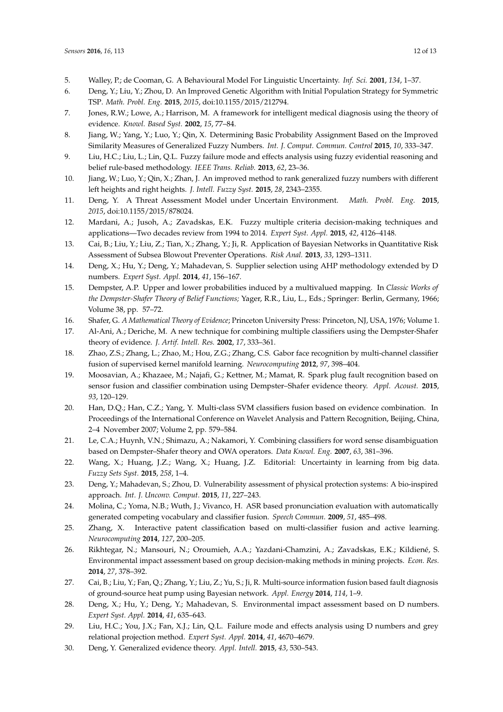- <span id="page-11-0"></span>5. Walley, P.; de Cooman, G. A Behavioural Model For Linguistic Uncertainty. *Inf. Sci.* **2001**, *134*, 1–37.
- <span id="page-11-1"></span>6. Deng, Y.; Liu, Y.; Zhou, D. An Improved Genetic Algorithm with Initial Population Strategy for Symmetric TSP. *Math. Probl. Eng.* **2015**, *2015*, doi:10.1155/2015/212794.
- <span id="page-11-2"></span>7. Jones, R.W.; Lowe, A.; Harrison, M. A framework for intelligent medical diagnosis using the theory of evidence. *Knowl. Based Syst.* **2002**, *15*, 77–84.
- <span id="page-11-3"></span>8. Jiang, W.; Yang, Y.; Luo, Y.; Qin, X. Determining Basic Probability Assignment Based on the Improved Similarity Measures of Generalized Fuzzy Numbers. *Int. J. Comput. Commun. Control* **2015**, *10*, 333–347.
- <span id="page-11-4"></span>9. Liu, H.C.; Liu, L.; Lin, Q.L. Fuzzy failure mode and effects analysis using fuzzy evidential reasoning and belief rule-based methodology. *IEEE Trans. Reliab.* **2013**, *62*, 23–36.
- 10. Jiang, W.; Luo, Y.; Qin, X.; Zhan, J. An improved method to rank generalized fuzzy numbers with different left heights and right heights. *J. Intell. Fuzzy Syst.* **2015**, *28*, 2343–2355.
- 11. Deng, Y. A Threat Assessment Model under Uncertain Environment. *Math. Probl. Eng.* **2015**, *2015*, doi:10.1155/2015/878024.
- <span id="page-11-5"></span>12. Mardani, A.; Jusoh, A.; Zavadskas, E.K. Fuzzy multiple criteria decision-making techniques and applications—Two decades review from 1994 to 2014. *Expert Syst. Appl.* **2015**, *42*, 4126–4148.
- <span id="page-11-6"></span>13. Cai, B.; Liu, Y.; Liu, Z.; Tian, X.; Zhang, Y.; Ji, R. Application of Bayesian Networks in Quantitative Risk Assessment of Subsea Blowout Preventer Operations. *Risk Anal.* **2013**, *33*, 1293–1311.
- <span id="page-11-7"></span>14. Deng, X.; Hu, Y.; Deng, Y.; Mahadevan, S. Supplier selection using AHP methodology extended by D numbers. *Expert Syst. Appl.* **2014**, *41*, 156–167.
- <span id="page-11-8"></span>15. Dempster, A.P. Upper and lower probabilities induced by a multivalued mapping. In *Classic Works of the Dempster-Shafer Theory of Belief Functions;* Yager, R.R., Liu, L., Eds.; Springer: Berlin, Germany, 1966; Volume 38, pp. 57–72.
- <span id="page-11-9"></span>16. Shafer, G. *A Mathematical Theory of Evidence*; Princeton University Press: Princeton, NJ, USA, 1976; Volume 1.
- <span id="page-11-10"></span>17. Al-Ani, A.; Deriche, M. A new technique for combining multiple classifiers using the Dempster-Shafer theory of evidence. *J. Artif. Intell. Res.* **2002**, *17*, 333–361.
- <span id="page-11-11"></span>18. Zhao, Z.S.; Zhang, L.; Zhao, M.; Hou, Z.G.; Zhang, C.S. Gabor face recognition by multi-channel classifier fusion of supervised kernel manifold learning. *Neurocomputing* **2012**, *97*, 398–404.
- 19. Moosavian, A.; Khazaee, M.; Najafi, G.; Kettner, M.; Mamat, R. Spark plug fault recognition based on sensor fusion and classifier combination using Dempster–Shafer evidence theory. *Appl. Acoust.* **2015**, *93*, 120–129.
- <span id="page-11-12"></span>20. Han, D.Q.; Han, C.Z.; Yang, Y. Multi-class SVM classifiers fusion based on evidence combination. In Proceedings of the International Conference on Wavelet Analysis and Pattern Recognition, Beijing, China, 2–4 November 2007; Volume 2, pp. 579–584.
- <span id="page-11-13"></span>21. Le, C.A.; Huynh, V.N.; Shimazu, A.; Nakamori, Y. Combining classifiers for word sense disambiguation based on Dempster–Shafer theory and OWA operators. *Data Knowl. Eng.* **2007**, *63*, 381–396.
- 22. Wang, X.; Huang, J.Z.; Wang, X.; Huang, J.Z. Editorial: Uncertainty in learning from big data. *Fuzzy Sets Syst.* **2015**, *258*, 1–4.
- <span id="page-11-14"></span>23. Deng, Y.; Mahadevan, S.; Zhou, D. Vulnerability assessment of physical protection systems: A bio-inspired approach. *Int. J. Unconv. Comput.* **2015**, *11*, 227–243.
- <span id="page-11-15"></span>24. Molina, C.; Yoma, N.B.; Wuth, J.; Vivanco, H. ASR based pronunciation evaluation with automatically generated competing vocabulary and classifier fusion. *Speech Commun.* **2009**, *51*, 485–498.
- 25. Zhang, X. Interactive patent classification based on multi-classifier fusion and active learning. *Neurocomputing* **2014**, *127*, 200–205.
- <span id="page-11-16"></span>26. Rikhtegar, N.; Mansouri, N.; Oroumieh, A.A.; Yazdani-Chamzini, A.; Zavadskas, E.K.; Kildiené, S. Environmental impact assessment based on group decision-making methods in mining projects. *Econ. Res.* **2014**, *27*, 378–392.
- <span id="page-11-17"></span>27. Cai, B.; Liu, Y.; Fan, Q.; Zhang, Y.; Liu, Z.; Yu, S.; Ji, R. Multi-source information fusion based fault diagnosis of ground-source heat pump using Bayesian network. *Appl. Energy* **2014**, *114*, 1–9.
- <span id="page-11-18"></span>28. Deng, X.; Hu, Y.; Deng, Y.; Mahadevan, S. Environmental impact assessment based on D numbers. *Expert Syst. Appl.* **2014**, *41*, 635–643.
- <span id="page-11-19"></span>29. Liu, H.C.; You, J.X.; Fan, X.J.; Lin, Q.L. Failure mode and effects analysis using D numbers and grey relational projection method. *Expert Syst. Appl.* **2014**, *41*, 4670–4679.
- <span id="page-11-20"></span>30. Deng, Y. Generalized evidence theory. *Appl. Intell.* **2015**, *43*, 530–543.